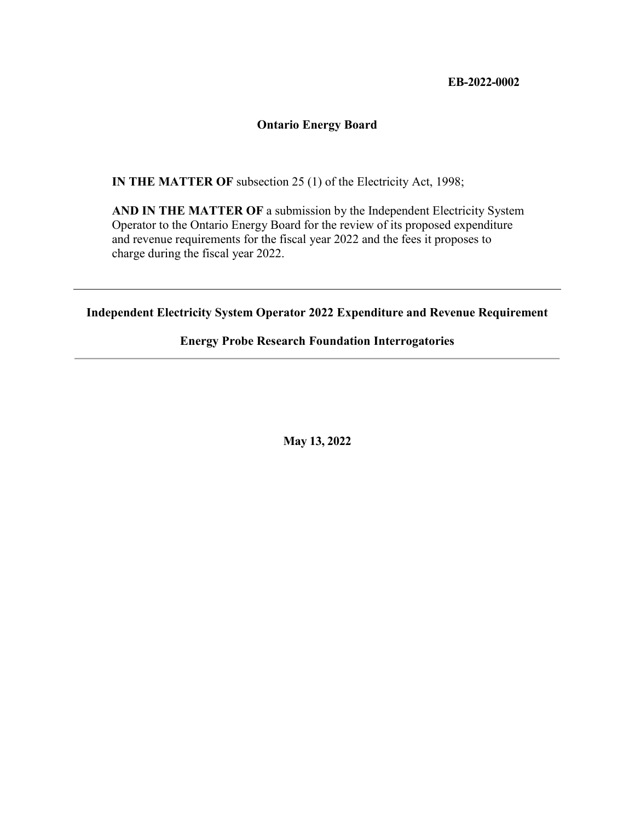#### **EB-2022-0002**

#### **Ontario Energy Board**

**IN THE MATTER OF** subsection 25 (1) of the Electricity Act, 1998;

**AND IN THE MATTER OF** a submission by the Independent Electricity System Operator to the Ontario Energy Board for the review of its proposed expenditure and revenue requirements for the fiscal year 2022 and the fees it proposes to charge during the fiscal year 2022.

**Independent Electricity System Operator 2022 Expenditure and Revenue Requirement**

#### **Energy Probe Research Foundation Interrogatories**

**May 13, 2022**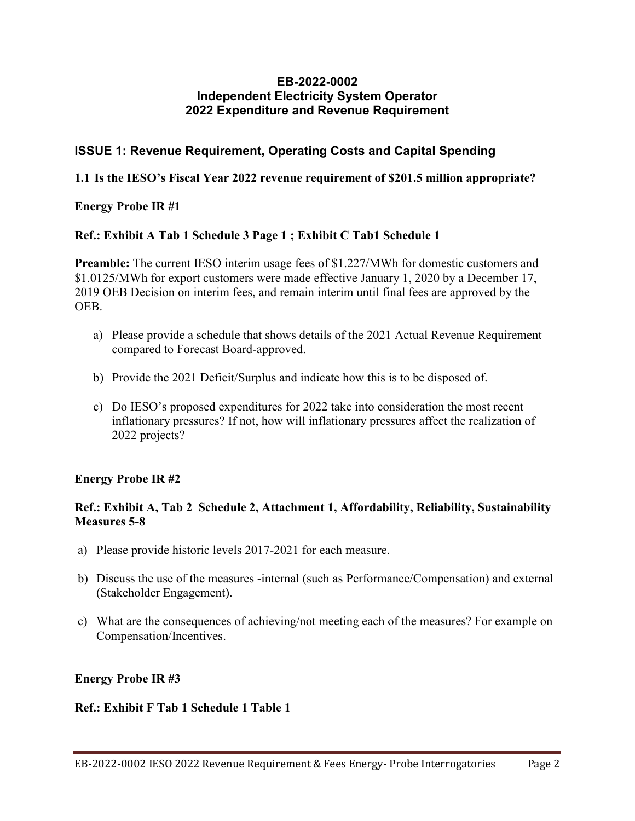#### **EB-2022-0002 Independent Electricity System Operator 2022 Expenditure and Revenue Requirement**

# **ISSUE 1: Revenue Requirement, Operating Costs and Capital Spending**

### **1.1 Is the IESO's Fiscal Year 2022 revenue requirement of \$201.5 million appropriate?**

### **Energy Probe IR #1**

### **Ref.: Exhibit A Tab 1 Schedule 3 Page 1 ; Exhibit C Tab1 Schedule 1**

**Preamble:** The current IESO interim usage fees of \$1.227/MWh for domestic customers and \$1.0125/MWh for export customers were made effective January 1, 2020 by a December 17, 2019 OEB Decision on interim fees, and remain interim until final fees are approved by the OEB.

- a) Please provide a schedule that shows details of the 2021 Actual Revenue Requirement compared to Forecast Board-approved.
- b) Provide the 2021 Deficit/Surplus and indicate how this is to be disposed of.
- c) Do IESO's proposed expenditures for 2022 take into consideration the most recent inflationary pressures? If not, how will inflationary pressures affect the realization of 2022 projects?

### **Energy Probe IR #2**

### **Ref.: Exhibit A, Tab 2 Schedule 2, Attachment 1, Affordability, Reliability, Sustainability Measures 5-8**

- a) Please provide historic levels 2017-2021 for each measure.
- b) Discuss the use of the measures -internal (such as Performance/Compensation) and external (Stakeholder Engagement).
- c) What are the consequences of achieving/not meeting each of the measures? For example on Compensation/Incentives.

# **Energy Probe IR #3**

### **Ref.: Exhibit F Tab 1 Schedule 1 Table 1**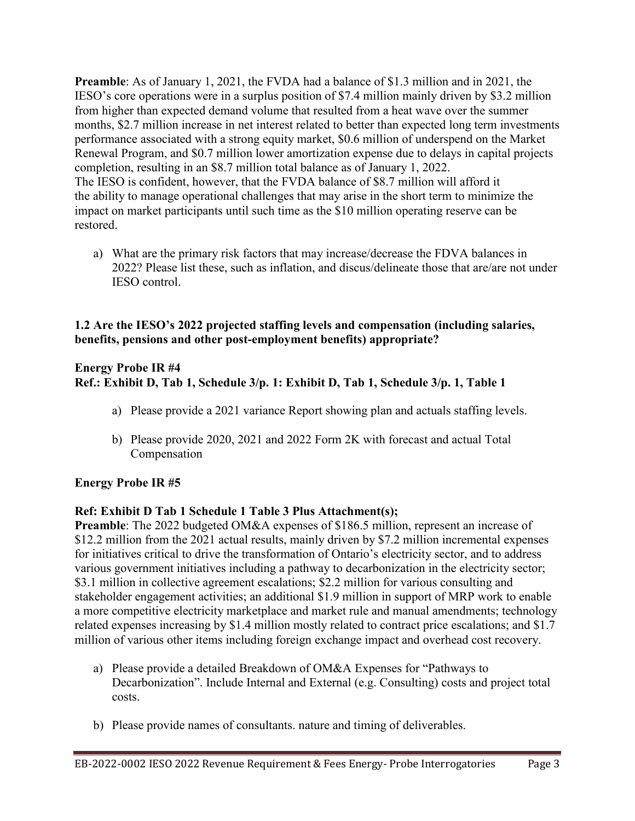**Preamble**: As of January 1, 2021, the FVDA had a balance of \$1.3 million and in 2021, the IESO's core operations were in a surplus position of \$7.4 million mainly driven by \$3.2 million from higher than expected demand volume that resulted from a heat wave over the summer months, \$2.7 million increase in net interest related to better than expected long term investments performance associated with a strong equity market, \$0.6 million of underspend on the Market Renewal Program, and \$0.7 million lower amortization expense due to delays in capital projects completion, resulting in an \$8.7 million total balance as of January 1, 2022. The IESO is confident, however, that the FVDA balance of \$8.7 million will afford it the ability to manage operational challenges that may arise in the short term to minimize the impact on market participants until such time as the \$10 million operating reserve can be restored.

a) What are the primary risk factors that may increase/decrease the FDVA balances in 2022? Please list these, such as inflation, and discus/delineate those that are/are not under IESO control.

#### **1.2 Are the IESO's 2022 projected staffing levels and compensation (including salaries, benefits, pensions and other post-employment benefits) appropriate?**

### **Energy Probe IR #4 Ref.: Exhibit D, Tab 1, Schedule 3/p. 1: Exhibit D, Tab 1, Schedule 3/p. 1, Table 1**

- a) Please provide a 2021 variance Report showing plan and actuals staffing levels.
- b) Please provide 2020, 2021 and 2022 Form 2K with forecast and actual Total Compensation

# **Energy Probe IR #5**

# **Ref: Exhibit D Tab 1 Schedule 1 Table 3 Plus Attachment(s);**

**Preamble**: The 2022 budgeted OM&A expenses of \$186.5 million, represent an increase of \$12.2 million from the 2021 actual results, mainly driven by \$7.2 million incremental expenses for initiatives critical to drive the transformation of Ontario's electricity sector, and to address various government initiatives including a pathway to decarbonization in the electricity sector; \$3.1 million in collective agreement escalations; \$2.2 million for various consulting and stakeholder engagement activities; an additional \$1.9 million in support of MRP work to enable a more competitive electricity marketplace and market rule and manual amendments; technology related expenses increasing by \$1.4 million mostly related to contract price escalations; and \$1.7 million of various other items including foreign exchange impact and overhead cost recovery.

- a) Please provide a detailed Breakdown of OM&A Expenses for "Pathways to Decarbonization". Include Internal and External (e.g. Consulting) costs and project total costs.
- b) Please provide names of consultants. nature and timing of deliverables.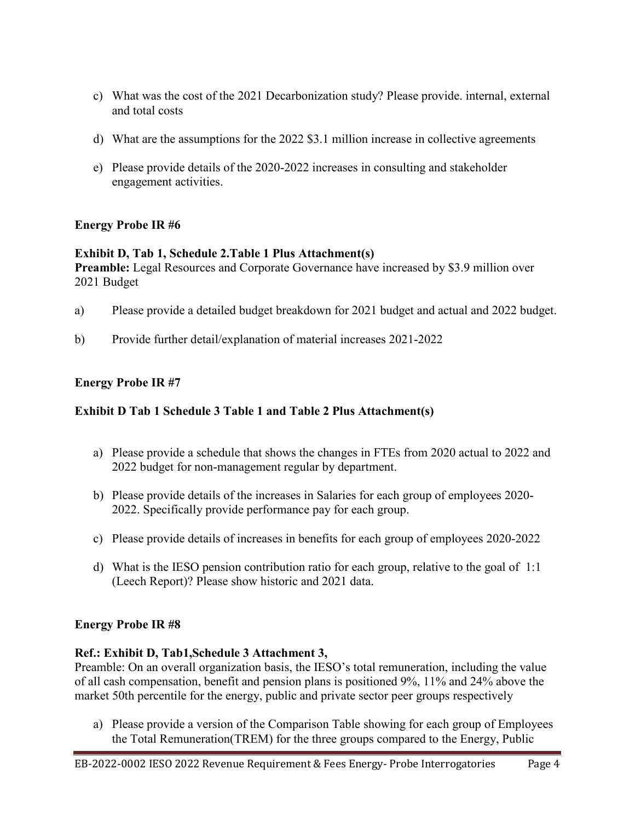- c) What was the cost of the 2021 Decarbonization study? Please provide. internal, external and total costs
- d) What are the assumptions for the 2022 \$3.1 million increase in collective agreements
- e) Please provide details of the 2020-2022 increases in consulting and stakeholder engagement activities.

# **Energy Probe IR #6**

### **Exhibit D, Tab 1, Schedule 2.Table 1 Plus Attachment(s)**

Preamble: Legal Resources and Corporate Governance have increased by \$3.9 million over 2021 Budget

- a) Please provide a detailed budget breakdown for 2021 budget and actual and 2022 budget.
- b) Provide further detail/explanation of material increases 2021-2022

# **Energy Probe IR #7**

# **Exhibit D Tab 1 Schedule 3 Table 1 and Table 2 Plus Attachment(s)**

- a) Please provide a schedule that shows the changes in FTEs from 2020 actual to 2022 and 2022 budget for non-management regular by department.
- b) Please provide details of the increases in Salaries for each group of employees 2020- 2022. Specifically provide performance pay for each group.
- c) Please provide details of increases in benefits for each group of employees 2020-2022
- d) What is the IESO pension contribution ratio for each group, relative to the goal of 1:1 (Leech Report)? Please show historic and 2021 data.

# **Energy Probe IR #8**

# **Ref.: Exhibit D, Tab1,Schedule 3 Attachment 3,**

Preamble: On an overall organization basis, the IESO's total remuneration, including the value of all cash compensation, benefit and pension plans is positioned 9%, 11% and 24% above the market 50th percentile for the energy, public and private sector peer groups respectively

a) Please provide a version of the Comparison Table showing for each group of Employees the Total Remuneration(TREM) for the three groups compared to the Energy, Public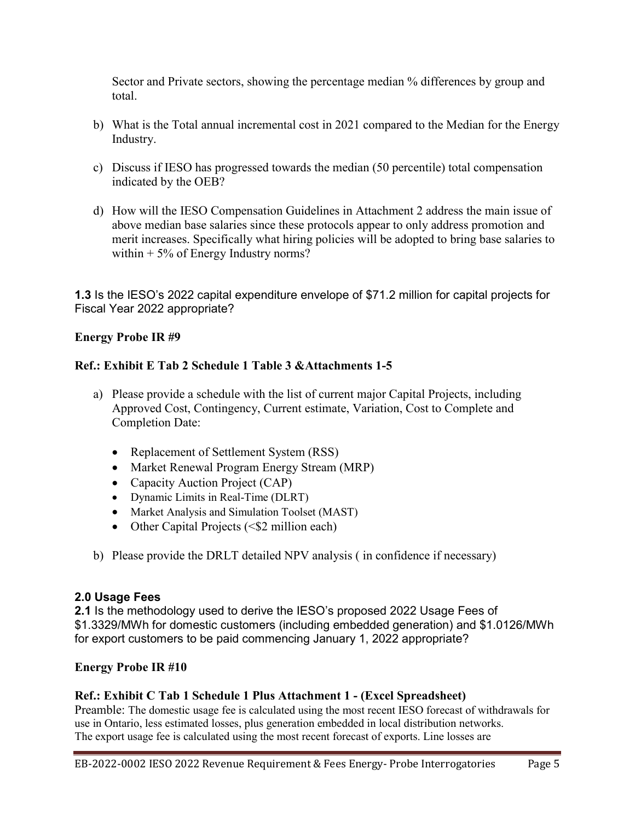Sector and Private sectors, showing the percentage median % differences by group and total.

- b) What is the Total annual incremental cost in 2021 compared to the Median for the Energy Industry.
- c) Discuss if IESO has progressed towards the median (50 percentile) total compensation indicated by the OEB?
- d) How will the IESO Compensation Guidelines in Attachment 2 address the main issue of above median base salaries since these protocols appear to only address promotion and merit increases. Specifically what hiring policies will be adopted to bring base salaries to within  $+5\%$  of Energy Industry norms?

**1.3** Is the IESO's 2022 capital expenditure envelope of \$71.2 million for capital projects for Fiscal Year 2022 appropriate?

### **Energy Probe IR #9**

### **Ref.: Exhibit E Tab 2 Schedule 1 Table 3 &Attachments 1-5**

- a) Please provide a schedule with the list of current major Capital Projects, including Approved Cost, Contingency, Current estimate, Variation, Cost to Complete and Completion Date:
	- Replacement of Settlement System (RSS)
	- Market Renewal Program Energy Stream (MRP)
	- Capacity Auction Project (CAP)
	- Dynamic Limits in Real-Time (DLRT)
	- Market Analysis and Simulation Toolset (MAST)
	- Other Capital Projects  $( $$2$  million each)$
- b) Please provide the DRLT detailed NPV analysis ( in confidence if necessary)

### **2.0 Usage Fees**

**2.1** Is the methodology used to derive the IESO's proposed 2022 Usage Fees of \$1.3329/MWh for domestic customers (including embedded generation) and \$1.0126/MWh for export customers to be paid commencing January 1, 2022 appropriate?

### **Energy Probe IR #10**

### **Ref.: Exhibit C Tab 1 Schedule 1 Plus Attachment 1 - (Excel Spreadsheet)**

Preamble: The domestic usage fee is calculated using the most recent IESO forecast of withdrawals for use in Ontario, less estimated losses, plus generation embedded in local distribution networks. The export usage fee is calculated using the most recent forecast of exports. Line losses are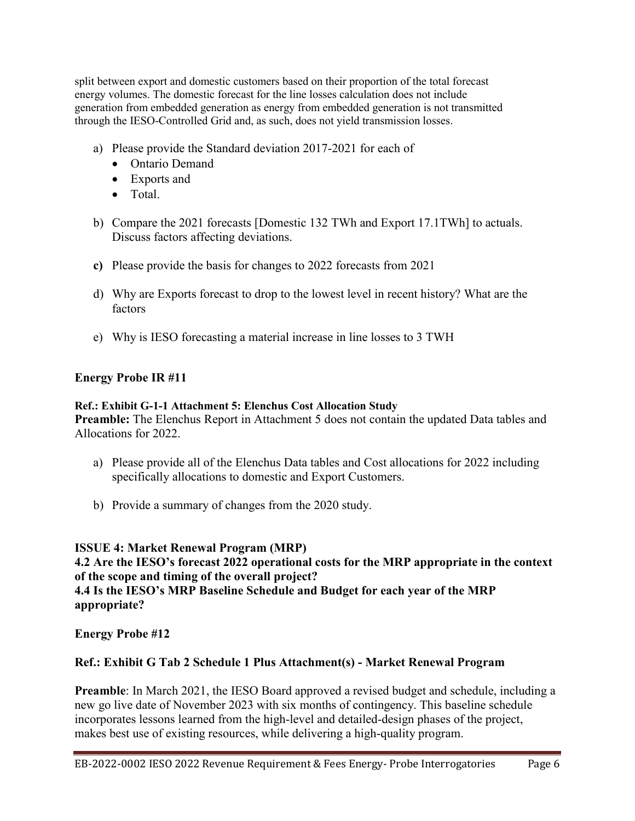split between export and domestic customers based on their proportion of the total forecast energy volumes. The domestic forecast for the line losses calculation does not include generation from embedded generation as energy from embedded generation is not transmitted through the IESO-Controlled Grid and, as such, does not yield transmission losses.

- a) Please provide the Standard deviation 2017-2021 for each of
	- Ontario Demand
	- Exports and
	- Total.
- b) Compare the 2021 forecasts [Domestic 132 TWh and Export 17.1TWh] to actuals. Discuss factors affecting deviations.
- **c)** Please provide the basis for changes to 2022 forecasts from 2021
- d) Why are Exports forecast to drop to the lowest level in recent history? What are the factors
- e) Why is IESO forecasting a material increase in line losses to 3 TWH

### **Energy Probe IR #11**

#### **Ref.: Exhibit G-1-1 Attachment 5: Elenchus Cost Allocation Study**

**Preamble:** The Elenchus Report in Attachment 5 does not contain the updated Data tables and Allocations for 2022.

- a) Please provide all of the Elenchus Data tables and Cost allocations for 2022 including specifically allocations to domestic and Export Customers.
- b) Provide a summary of changes from the 2020 study.

**ISSUE 4: Market Renewal Program (MRP) 4.2 Are the IESO's forecast 2022 operational costs for the MRP appropriate in the context of the scope and timing of the overall project? 4.4 Is the IESO's MRP Baseline Schedule and Budget for each year of the MRP appropriate?**

**Energy Probe #12**

# **Ref.: Exhibit G Tab 2 Schedule 1 Plus Attachment(s) - Market Renewal Program**

**Preamble**: In March 2021, the IESO Board approved a revised budget and schedule, including a new go live date of November 2023 with six months of contingency. This baseline schedule incorporates lessons learned from the high-level and detailed-design phases of the project, makes best use of existing resources, while delivering a high-quality program.